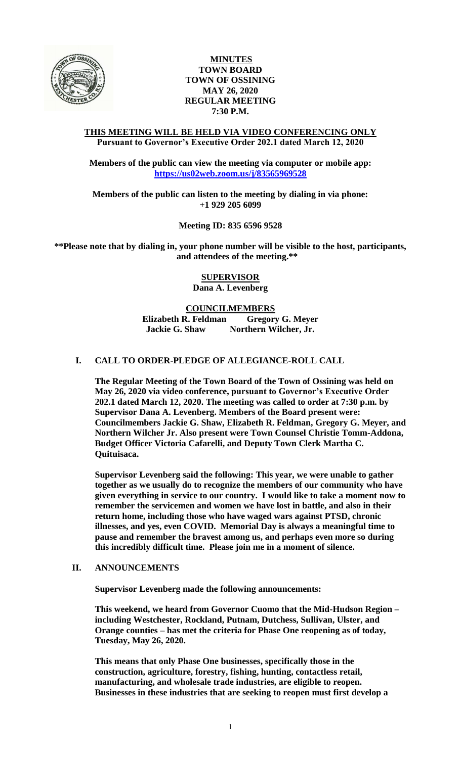

# **MINUTES TOWN BOARD TOWN OF OSSINING MAY 26, 2020 REGULAR MEETING 7:30 P.M.**

### **THIS MEETING WILL BE HELD VIA VIDEO CONFERENCING ONLY Pursuant to Governor's Executive Order 202.1 dated March 12, 2020**

**Members of the public can view the meeting via computer or mobile app: <https://us02web.zoom.us/j/83565969528>**

**Members of the public can listen to the meeting by dialing in via phone: +1 929 205 6099**

**Meeting ID: 835 6596 9528**

**\*\*Please note that by dialing in, your phone number will be visible to the host, participants, and attendees of the meeting.\*\*** 

> **SUPERVISOR Dana A. Levenberg**

# **COUNCILMEMBERS**

**Elizabeth R. Feldman Gregory G. Meyer Jackie G. Shaw Northern Wilcher, Jr.**

# **I. CALL TO ORDER-PLEDGE OF ALLEGIANCE-ROLL CALL**

**The Regular Meeting of the Town Board of the Town of Ossining was held on May 26, 2020 via video conference, pursuant to Governor's Executive Order 202.1 dated March 12, 2020. The meeting was called to order at 7:30 p.m. by Supervisor Dana A. Levenberg. Members of the Board present were: Councilmembers Jackie G. Shaw, Elizabeth R. Feldman, Gregory G. Meyer, and Northern Wilcher Jr. Also present were Town Counsel Christie Tomm-Addona, Budget Officer Victoria Cafarelli, and Deputy Town Clerk Martha C. Quituisaca.**

**Supervisor Levenberg said the following: This year, we were unable to gather together as we usually do to recognize the members of our community who have given everything in service to our country. I would like to take a moment now to remember the servicemen and women we have lost in battle, and also in their return home, including those who have waged wars against PTSD, chronic illnesses, and yes, even COVID. Memorial Day is always a meaningful time to pause and remember the bravest among us, and perhaps even more so during this incredibly difficult time. Please join me in a moment of silence.** 

#### **II. ANNOUNCEMENTS**

**Supervisor Levenberg made the following announcements:**

**This weekend, we heard from Governor Cuomo that the Mid-Hudson Region – including Westchester, Rockland, Putnam, Dutchess, Sullivan, Ulster, and Orange counties – has met the criteria for Phase One reopening as of today, Tuesday, May 26, 2020.** 

**This means that only Phase One businesses, specifically those in the construction, agriculture, forestry, fishing, hunting, contactless retail, manufacturing, and wholesale trade industries, are eligible to reopen. Businesses in these industries that are seeking to reopen must first develop a**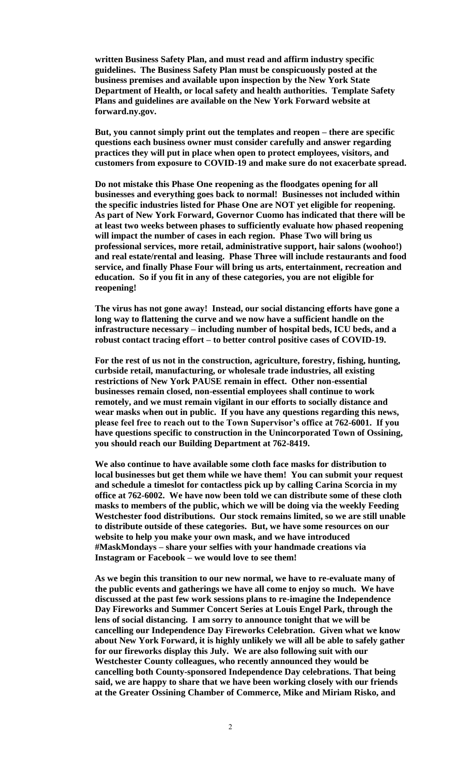**written Business Safety Plan, and must read and affirm industry specific guidelines. The Business Safety Plan must be conspicuously posted at the business premises and available upon inspection by the New York State Department of Health, or local safety and health authorities. Template Safety Plans and guidelines are available on the New York Forward website at forward.ny.gov.** 

**But, you cannot simply print out the templates and reopen – there are specific questions each business owner must consider carefully and answer regarding practices they will put in place when open to protect employees, visitors, and customers from exposure to COVID-19 and make sure do not exacerbate spread.** 

**Do not mistake this Phase One reopening as the floodgates opening for all businesses and everything goes back to normal! Businesses not included within the specific industries listed for Phase One are NOT yet eligible for reopening. As part of New York Forward, Governor Cuomo has indicated that there will be at least two weeks between phases to sufficiently evaluate how phased reopening will impact the number of cases in each region. Phase Two will bring us professional services, more retail, administrative support, hair salons (woohoo!) and real estate/rental and leasing. Phase Three will include restaurants and food service, and finally Phase Four will bring us arts, entertainment, recreation and education. So if you fit in any of these categories, you are not eligible for reopening!**

**The virus has not gone away! Instead, our social distancing efforts have gone a long way to flattening the curve and we now have a sufficient handle on the infrastructure necessary – including number of hospital beds, ICU beds, and a robust contact tracing effort – to better control positive cases of COVID-19.** 

**For the rest of us not in the construction, agriculture, forestry, fishing, hunting, curbside retail, manufacturing, or wholesale trade industries, all existing restrictions of New York PAUSE remain in effect. Other non-essential businesses remain closed, non-essential employees shall continue to work remotely, and we must remain vigilant in our efforts to socially distance and wear masks when out in public. If you have any questions regarding this news, please feel free to reach out to the Town Supervisor's office at 762-6001. If you have questions specific to construction in the Unincorporated Town of Ossining, you should reach our Building Department at 762-8419.** 

**We also continue to have available some cloth face masks for distribution to local businesses but get them while we have them! You can submit your request and schedule a timeslot for contactless pick up by calling Carina Scorcia in my office at 762-6002. We have now been told we can distribute some of these cloth masks to members of the public, which we will be doing via the weekly Feeding Westchester food distributions. Our stock remains limited, so we are still unable to distribute outside of these categories. But, we have some resources on our website to help you make your own mask, and we have introduced #MaskMondays – share your selfies with your handmade creations via Instagram or Facebook – we would love to see them!** 

**As we begin this transition to our new normal, we have to re-evaluate many of the public events and gatherings we have all come to enjoy so much. We have discussed at the past few work sessions plans to re-imagine the Independence Day Fireworks and Summer Concert Series at Louis Engel Park, through the lens of social distancing. I am sorry to announce tonight that we will be cancelling our Independence Day Fireworks Celebration. Given what we know about New York Forward, it is highly unlikely we will all be able to safely gather for our fireworks display this July. We are also following suit with our Westchester County colleagues, who recently announced they would be cancelling both County-sponsored Independence Day celebrations. That being said, we are happy to share that we have been working closely with our friends at the Greater Ossining Chamber of Commerce, Mike and Miriam Risko, and**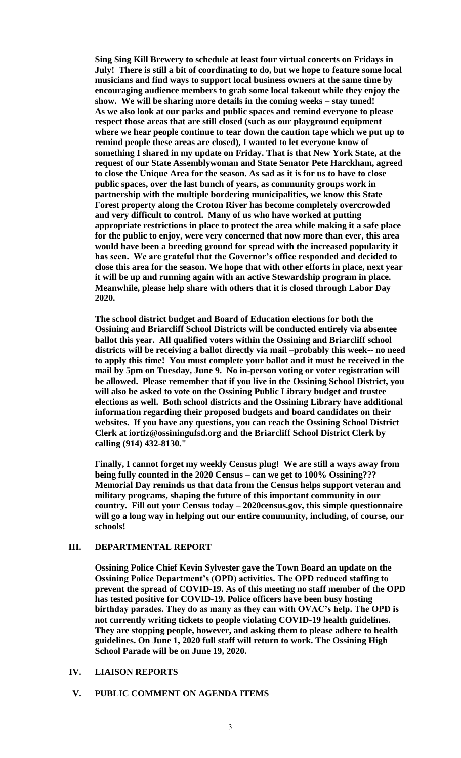**Sing Sing Kill Brewery to schedule at least four virtual concerts on Fridays in July! There is still a bit of coordinating to do, but we hope to feature some local musicians and find ways to support local business owners at the same time by encouraging audience members to grab some local takeout while they enjoy the show. We will be sharing more details in the coming weeks – stay tuned! As we also look at our parks and public spaces and remind everyone to please respect those areas that are still closed (such as our playground equipment where we hear people continue to tear down the caution tape which we put up to remind people these areas are closed), I wanted to let everyone know of something I shared in my update on Friday. That is that New York State, at the request of our State Assemblywoman and State Senator Pete Harckham, agreed to close the Unique Area for the season. As sad as it is for us to have to close public spaces, over the last bunch of years, as community groups work in partnership with the multiple bordering municipalities, we know this State Forest property along the Croton River has become completely overcrowded and very difficult to control. Many of us who have worked at putting appropriate restrictions in place to protect the area while making it a safe place for the public to enjoy, were very concerned that now more than ever, this area would have been a breeding ground for spread with the increased popularity it has seen. We are grateful that the Governor's office responded and decided to close this area for the season. We hope that with other efforts in place, next year it will be up and running again with an active Stewardship program in place. Meanwhile, please help share with others that it is closed through Labor Day 2020.**

**The school district budget and Board of Education elections for both the Ossining and Briarcliff School Districts will be conducted entirely via absentee ballot this year. All qualified voters within the Ossining and Briarcliff school districts will be receiving a ballot directly via mail –probably this week-- no need to apply this time! You must complete your ballot and it must be received in the mail by 5pm on Tuesday, June 9. No in-person voting or voter registration will be allowed. Please remember that if you live in the Ossining School District, you will also be asked to vote on the Ossining Public Library budget and trustee elections as well. Both school districts and the Ossining Library have additional information regarding their proposed budgets and board candidates on their websites. If you have any questions, you can reach the Ossining School District Clerk at iortiz@ossiningufsd.org and the Briarcliff School District Clerk by calling (914) 432-8130."**

**Finally, I cannot forget my weekly Census plug! We are still a ways away from being fully counted in the 2020 Census – can we get to 100% Ossining??? Memorial Day reminds us that data from the Census helps support veteran and military programs, shaping the future of this important community in our country. Fill out your Census today – 2020census.gov, this simple questionnaire will go a long way in helping out our entire community, including, of course, our schools!**

### **III. DEPARTMENTAL REPORT**

**Ossining Police Chief Kevin Sylvester gave the Town Board an update on the Ossining Police Department's (OPD) activities. The OPD reduced staffing to prevent the spread of COVID-19. As of this meeting no staff member of the OPD has tested positive for COVID-19. Police officers have been busy hosting birthday parades. They do as many as they can with OVAC's help. The OPD is not currently writing tickets to people violating COVID-19 health guidelines. They are stopping people, however, and asking them to please adhere to health guidelines. On June 1, 2020 full staff will return to work. The Ossining High School Parade will be on June 19, 2020.** 

### **IV. LIAISON REPORTS**

#### **V. PUBLIC COMMENT ON AGENDA ITEMS**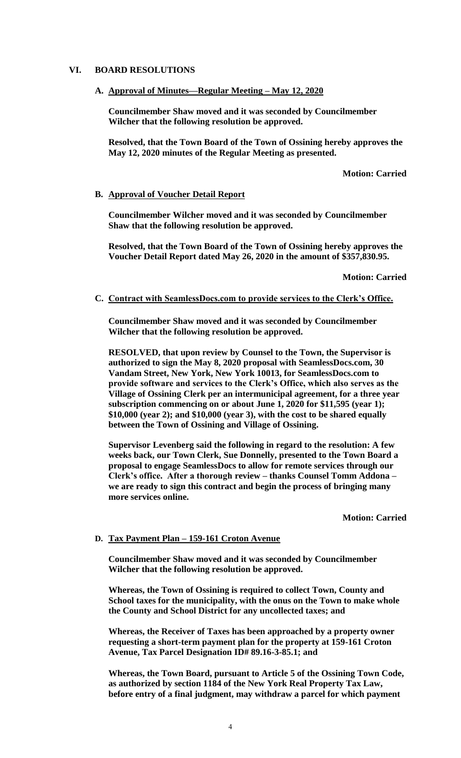### **VI. BOARD RESOLUTIONS**

**A. Approval of Minutes—Regular Meeting – May 12, 2020**

**Councilmember Shaw moved and it was seconded by Councilmember Wilcher that the following resolution be approved.**

**Resolved, that the Town Board of the Town of Ossining hereby approves the May 12, 2020 minutes of the Regular Meeting as presented.**

**Motion: Carried**

#### **B. Approval of Voucher Detail Report**

**Councilmember Wilcher moved and it was seconded by Councilmember Shaw that the following resolution be approved.**

**Resolved, that the Town Board of the Town of Ossining hereby approves the Voucher Detail Report dated May 26, 2020 in the amount of \$357,830.95.**

**Motion: Carried**

#### **C. Contract with SeamlessDocs.com to provide services to the Clerk's Office.**

**Councilmember Shaw moved and it was seconded by Councilmember Wilcher that the following resolution be approved.**

**RESOLVED, that upon review by Counsel to the Town, the Supervisor is authorized to sign the May 8, 2020 proposal with SeamlessDocs.com, 30 Vandam Street, New York, New York 10013, for SeamlessDocs.com to provide software and services to the Clerk's Office, which also serves as the Village of Ossining Clerk per an intermunicipal agreement, for a three year subscription commencing on or about June 1, 2020 for \$11,595 (year 1); \$10,000 (year 2); and \$10,000 (year 3), with the cost to be shared equally between the Town of Ossining and Village of Ossining.**

**Supervisor Levenberg said the following in regard to the resolution: A few weeks back, our Town Clerk, Sue Donnelly, presented to the Town Board a proposal to engage SeamlessDocs to allow for remote services through our Clerk's office. After a thorough review – thanks Counsel Tomm Addona – we are ready to sign this contract and begin the process of bringing many more services online.** 

**Motion: Carried**

### **D. Tax Payment Plan – 159-161 Croton Avenue**

**Councilmember Shaw moved and it was seconded by Councilmember Wilcher that the following resolution be approved.**

**Whereas, the Town of Ossining is required to collect Town, County and School taxes for the municipality, with the onus on the Town to make whole the County and School District for any uncollected taxes; and**

**Whereas, the Receiver of Taxes has been approached by a property owner requesting a short-term payment plan for the property at 159-161 Croton Avenue, Tax Parcel Designation ID# 89.16-3-85.1; and**

**Whereas, the Town Board, pursuant to Article 5 of the Ossining Town Code, as authorized by section 1184 of the New York Real Property Tax Law, before entry of a final judgment, may withdraw a parcel for which payment**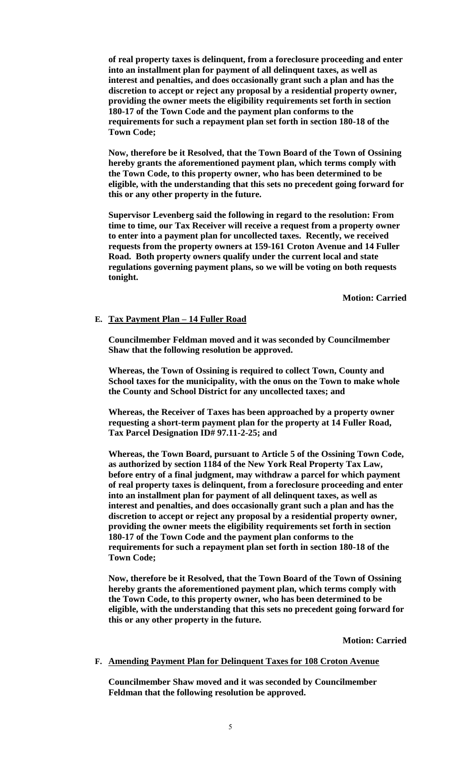**of real property taxes is delinquent, from a foreclosure proceeding and enter into an installment plan for payment of all delinquent taxes, as well as interest and penalties, and does occasionally grant such a plan and has the discretion to accept or reject any proposal by a residential property owner, providing the owner meets the eligibility requirements set forth in section 180-17 of the Town Code and the payment plan conforms to the requirements for such a repayment plan set forth in section 180-18 of the Town Code;**

**Now, therefore be it Resolved, that the Town Board of the Town of Ossining hereby grants the aforementioned payment plan, which terms comply with the Town Code, to this property owner, who has been determined to be eligible, with the understanding that this sets no precedent going forward for this or any other property in the future.**

**Supervisor Levenberg said the following in regard to the resolution: From time to time, our Tax Receiver will receive a request from a property owner to enter into a payment plan for uncollected taxes. Recently, we received requests from the property owners at 159-161 Croton Avenue and 14 Fuller Road. Both property owners qualify under the current local and state regulations governing payment plans, so we will be voting on both requests tonight.**

**Motion: Carried**

### **E. Tax Payment Plan – 14 Fuller Road**

**Councilmember Feldman moved and it was seconded by Councilmember Shaw that the following resolution be approved.**

**Whereas, the Town of Ossining is required to collect Town, County and School taxes for the municipality, with the onus on the Town to make whole the County and School District for any uncollected taxes; and**

**Whereas, the Receiver of Taxes has been approached by a property owner requesting a short-term payment plan for the property at 14 Fuller Road, Tax Parcel Designation ID# 97.11-2-25; and**

**Whereas, the Town Board, pursuant to Article 5 of the Ossining Town Code, as authorized by section 1184 of the New York Real Property Tax Law, before entry of a final judgment, may withdraw a parcel for which payment of real property taxes is delinquent, from a foreclosure proceeding and enter into an installment plan for payment of all delinquent taxes, as well as interest and penalties, and does occasionally grant such a plan and has the discretion to accept or reject any proposal by a residential property owner, providing the owner meets the eligibility requirements set forth in section 180-17 of the Town Code and the payment plan conforms to the requirements for such a repayment plan set forth in section 180-18 of the Town Code;**

**Now, therefore be it Resolved, that the Town Board of the Town of Ossining hereby grants the aforementioned payment plan, which terms comply with the Town Code, to this property owner, who has been determined to be eligible, with the understanding that this sets no precedent going forward for this or any other property in the future.**

**Motion: Carried**

#### **F. Amending Payment Plan for Delinquent Taxes for 108 Croton Avenue**

**Councilmember Shaw moved and it was seconded by Councilmember Feldman that the following resolution be approved.**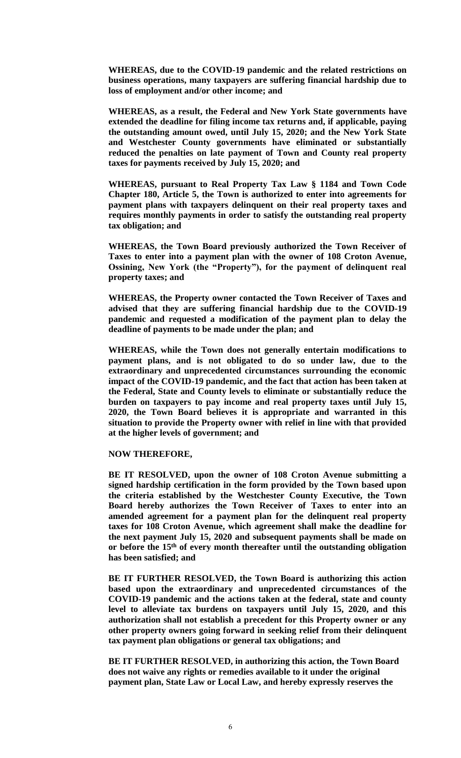**WHEREAS, due to the COVID-19 pandemic and the related restrictions on business operations, many taxpayers are suffering financial hardship due to loss of employment and/or other income; and**

**WHEREAS, as a result, the Federal and New York State governments have extended the deadline for filing income tax returns and, if applicable, paying the outstanding amount owed, until July 15, 2020; and the New York State and Westchester County governments have eliminated or substantially reduced the penalties on late payment of Town and County real property taxes for payments received by July 15, 2020; and** 

**WHEREAS, pursuant to Real Property Tax Law § 1184 and Town Code Chapter 180, Article 5, the Town is authorized to enter into agreements for payment plans with taxpayers delinquent on their real property taxes and requires monthly payments in order to satisfy the outstanding real property tax obligation; and**

**WHEREAS, the Town Board previously authorized the Town Receiver of Taxes to enter into a payment plan with the owner of 108 Croton Avenue, Ossining, New York (the "Property"), for the payment of delinquent real property taxes; and**

**WHEREAS, the Property owner contacted the Town Receiver of Taxes and advised that they are suffering financial hardship due to the COVID-19 pandemic and requested a modification of the payment plan to delay the deadline of payments to be made under the plan; and**

**WHEREAS, while the Town does not generally entertain modifications to payment plans, and is not obligated to do so under law, due to the extraordinary and unprecedented circumstances surrounding the economic impact of the COVID-19 pandemic, and the fact that action has been taken at the Federal, State and County levels to eliminate or substantially reduce the burden on taxpayers to pay income and real property taxes until July 15, 2020, the Town Board believes it is appropriate and warranted in this situation to provide the Property owner with relief in line with that provided at the higher levels of government; and**

**NOW THEREFORE,** 

**BE IT RESOLVED, upon the owner of 108 Croton Avenue submitting a signed hardship certification in the form provided by the Town based upon the criteria established by the Westchester County Executive, the Town Board hereby authorizes the Town Receiver of Taxes to enter into an amended agreement for a payment plan for the delinquent real property taxes for 108 Croton Avenue, which agreement shall make the deadline for the next payment July 15, 2020 and subsequent payments shall be made on or before the 15th of every month thereafter until the outstanding obligation has been satisfied; and**

**BE IT FURTHER RESOLVED, the Town Board is authorizing this action based upon the extraordinary and unprecedented circumstances of the COVID-19 pandemic and the actions taken at the federal, state and county level to alleviate tax burdens on taxpayers until July 15, 2020, and this authorization shall not establish a precedent for this Property owner or any other property owners going forward in seeking relief from their delinquent tax payment plan obligations or general tax obligations; and**

**BE IT FURTHER RESOLVED, in authorizing this action, the Town Board does not waive any rights or remedies available to it under the original payment plan, State Law or Local Law, and hereby expressly reserves the**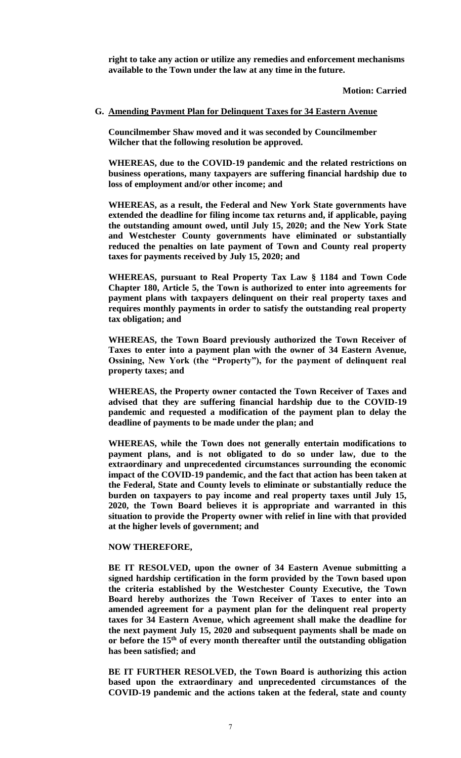**right to take any action or utilize any remedies and enforcement mechanisms available to the Town under the law at any time in the future.**

#### **Motion: Carried**

#### **G. Amending Payment Plan for Delinquent Taxes for 34 Eastern Avenue**

**Councilmember Shaw moved and it was seconded by Councilmember Wilcher that the following resolution be approved.**

**WHEREAS, due to the COVID-19 pandemic and the related restrictions on business operations, many taxpayers are suffering financial hardship due to loss of employment and/or other income; and**

**WHEREAS, as a result, the Federal and New York State governments have extended the deadline for filing income tax returns and, if applicable, paying the outstanding amount owed, until July 15, 2020; and the New York State and Westchester County governments have eliminated or substantially reduced the penalties on late payment of Town and County real property taxes for payments received by July 15, 2020; and** 

**WHEREAS, pursuant to Real Property Tax Law § 1184 and Town Code Chapter 180, Article 5, the Town is authorized to enter into agreements for payment plans with taxpayers delinquent on their real property taxes and requires monthly payments in order to satisfy the outstanding real property tax obligation; and**

**WHEREAS, the Town Board previously authorized the Town Receiver of Taxes to enter into a payment plan with the owner of 34 Eastern Avenue, Ossining, New York (the "Property"), for the payment of delinquent real property taxes; and**

**WHEREAS, the Property owner contacted the Town Receiver of Taxes and advised that they are suffering financial hardship due to the COVID-19 pandemic and requested a modification of the payment plan to delay the deadline of payments to be made under the plan; and**

**WHEREAS, while the Town does not generally entertain modifications to payment plans, and is not obligated to do so under law, due to the extraordinary and unprecedented circumstances surrounding the economic impact of the COVID-19 pandemic, and the fact that action has been taken at the Federal, State and County levels to eliminate or substantially reduce the burden on taxpayers to pay income and real property taxes until July 15, 2020, the Town Board believes it is appropriate and warranted in this situation to provide the Property owner with relief in line with that provided at the higher levels of government; and**

#### **NOW THEREFORE,**

**BE IT RESOLVED, upon the owner of 34 Eastern Avenue submitting a signed hardship certification in the form provided by the Town based upon the criteria established by the Westchester County Executive, the Town Board hereby authorizes the Town Receiver of Taxes to enter into an amended agreement for a payment plan for the delinquent real property taxes for 34 Eastern Avenue, which agreement shall make the deadline for the next payment July 15, 2020 and subsequent payments shall be made on or before the 15th of every month thereafter until the outstanding obligation has been satisfied; and**

**BE IT FURTHER RESOLVED, the Town Board is authorizing this action based upon the extraordinary and unprecedented circumstances of the COVID-19 pandemic and the actions taken at the federal, state and county**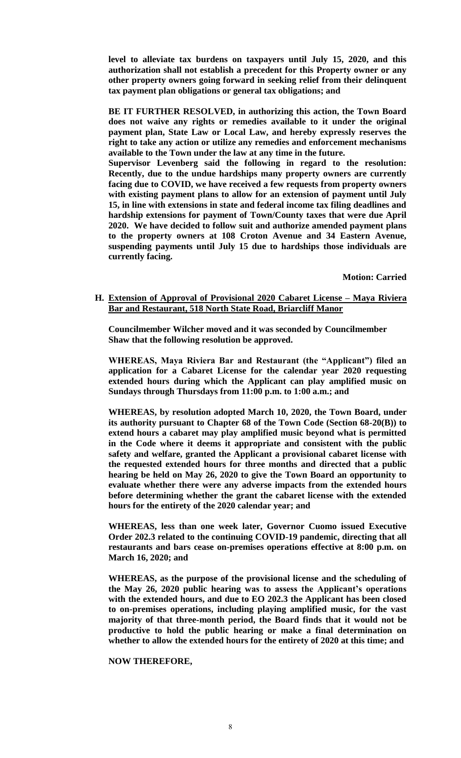**level to alleviate tax burdens on taxpayers until July 15, 2020, and this authorization shall not establish a precedent for this Property owner or any other property owners going forward in seeking relief from their delinquent tax payment plan obligations or general tax obligations; and**

**BE IT FURTHER RESOLVED, in authorizing this action, the Town Board does not waive any rights or remedies available to it under the original payment plan, State Law or Local Law, and hereby expressly reserves the right to take any action or utilize any remedies and enforcement mechanisms available to the Town under the law at any time in the future.**

**Supervisor Levenberg said the following in regard to the resolution: Recently, due to the undue hardships many property owners are currently facing due to COVID, we have received a few requests from property owners with existing payment plans to allow for an extension of payment until July 15, in line with extensions in state and federal income tax filing deadlines and hardship extensions for payment of Town/County taxes that were due April 2020. We have decided to follow suit and authorize amended payment plans to the property owners at 108 Croton Avenue and 34 Eastern Avenue, suspending payments until July 15 due to hardships those individuals are currently facing.** 

**Motion: Carried**

### **H. Extension of Approval of Provisional 2020 Cabaret License – Maya Riviera Bar and Restaurant, 518 North State Road, Briarcliff Manor**

**Councilmember Wilcher moved and it was seconded by Councilmember Shaw that the following resolution be approved.**

**WHEREAS, Maya Riviera Bar and Restaurant (the "Applicant") filed an application for a Cabaret License for the calendar year 2020 requesting extended hours during which the Applicant can play amplified music on Sundays through Thursdays from 11:00 p.m. to 1:00 a.m.; and**

**WHEREAS, by resolution adopted March 10, 2020, the Town Board, under its authority pursuant to Chapter 68 of the Town Code (Section 68-20(B)) to extend hours a cabaret may play amplified music beyond what is permitted in the Code where it deems it appropriate and consistent with the public safety and welfare, granted the Applicant a provisional cabaret license with the requested extended hours for three months and directed that a public hearing be held on May 26, 2020 to give the Town Board an opportunity to evaluate whether there were any adverse impacts from the extended hours before determining whether the grant the cabaret license with the extended hours for the entirety of the 2020 calendar year; and**

**WHEREAS, less than one week later, Governor Cuomo issued Executive Order 202.3 related to the continuing COVID-19 pandemic, directing that all restaurants and bars cease on-premises operations effective at 8:00 p.m. on March 16, 2020; and**

**WHEREAS, as the purpose of the provisional license and the scheduling of the May 26, 2020 public hearing was to assess the Applicant's operations with the extended hours, and due to EO 202.3 the Applicant has been closed to on-premises operations, including playing amplified music, for the vast majority of that three-month period, the Board finds that it would not be productive to hold the public hearing or make a final determination on whether to allow the extended hours for the entirety of 2020 at this time; and**

#### **NOW THEREFORE,**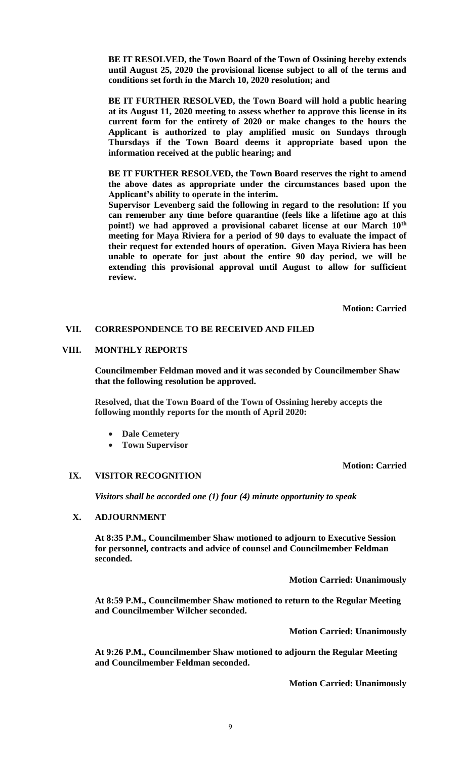**BE IT RESOLVED, the Town Board of the Town of Ossining hereby extends until August 25, 2020 the provisional license subject to all of the terms and conditions set forth in the March 10, 2020 resolution; and** 

**BE IT FURTHER RESOLVED, the Town Board will hold a public hearing at its August 11, 2020 meeting to assess whether to approve this license in its current form for the entirety of 2020 or make changes to the hours the Applicant is authorized to play amplified music on Sundays through Thursdays if the Town Board deems it appropriate based upon the information received at the public hearing; and**

**BE IT FURTHER RESOLVED, the Town Board reserves the right to amend the above dates as appropriate under the circumstances based upon the Applicant's ability to operate in the interim.** 

**Supervisor Levenberg said the following in regard to the resolution: If you can remember any time before quarantine (feels like a lifetime ago at this point!) we had approved a provisional cabaret license at our March 10th meeting for Maya Riviera for a period of 90 days to evaluate the impact of their request for extended hours of operation. Given Maya Riviera has been unable to operate for just about the entire 90 day period, we will be extending this provisional approval until August to allow for sufficient review.** 

**Motion: Carried**

# **VII. CORRESPONDENCE TO BE RECEIVED AND FILED**

### **VIII. MONTHLY REPORTS**

**Councilmember Feldman moved and it was seconded by Councilmember Shaw that the following resolution be approved.**

**Resolved, that the Town Board of the Town of Ossining hereby accepts the following monthly reports for the month of April 2020:**

- **Dale Cemetery**
- **Town Supervisor**

**Motion: Carried**

#### **IX. VISITOR RECOGNITION**

*Visitors shall be accorded one (1) four (4) minute opportunity to speak*

### **X. ADJOURNMENT**

**At 8:35 P.M., Councilmember Shaw motioned to adjourn to Executive Session for personnel, contracts and advice of counsel and Councilmember Feldman seconded.**

**Motion Carried: Unanimously**

**At 8:59 P.M., Councilmember Shaw motioned to return to the Regular Meeting and Councilmember Wilcher seconded.** 

**Motion Carried: Unanimously**

**At 9:26 P.M., Councilmember Shaw motioned to adjourn the Regular Meeting and Councilmember Feldman seconded.**

**Motion Carried: Unanimously**